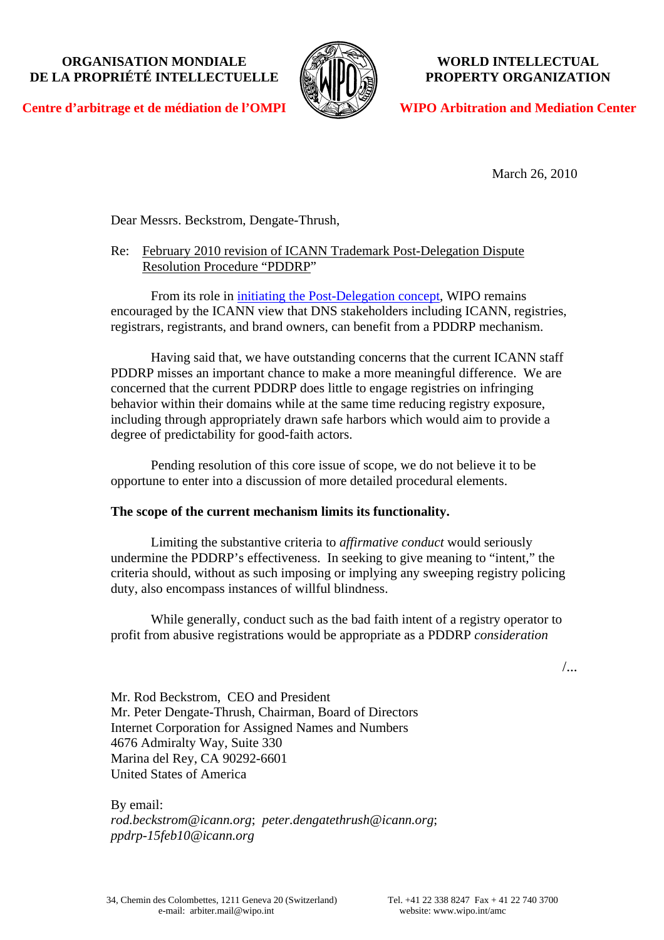## **ORGANISATION MONDIALE DE LA PROPRIÉTÉ INTELLECTUELLE**



**WORLD INTELLECTUAL PROPERTY ORGANIZATION** 

**Centre d'arbitrage et de médiation de l'OMPI**

**WIPO Arbitration and Mediation Center**

March 26, 2010

Dear Messrs. Beckstrom, Dengate-Thrush,

# Re: February 2010 revision of ICANN Trademark Post-Delegation Dispute Resolution Procedure "PDDRP"

From its role in *[initiating the Post-Delegation concept](http://www.wipo.int/amc/en/docs/icann130309.pdf)*, WIPO remains encouraged by the ICANN view that DNS stakeholders including ICANN, registries, registrars, registrants, and brand owners, can benefit from a PDDRP mechanism.

Having said that, we have outstanding concerns that the current ICANN staff PDDRP misses an important chance to make a more meaningful difference. We are concerned that the current PDDRP does little to engage registries on infringing behavior within their domains while at the same time reducing registry exposure, including through appropriately drawn safe harbors which would aim to provide a degree of predictability for good-faith actors.

Pending resolution of this core issue of scope, we do not believe it to be opportune to enter into a discussion of more detailed procedural elements.

# **The scope of the current mechanism limits its functionality.**

Limiting the substantive criteria to *affirmative conduct* would seriously undermine the PDDRP's effectiveness. In seeking to give meaning to "intent," the criteria should, without as such imposing or implying any sweeping registry policing duty, also encompass instances of willful blindness.

While generally, conduct such as the bad faith intent of a registry operator to profit from abusive registrations would be appropriate as a PDDRP *consideration* 

/...

Mr. Rod Beckstrom, CEO and President Mr. Peter Dengate-Thrush, Chairman, Board of Directors Internet Corporation for Assigned Names and Numbers 4676 Admiralty Way, Suite 330 Marina del Rey, CA 90292-6601 United States of America

By email: *rod.beckstrom@icann.org*; *peter.dengatethrush@icann.org*; *ppdrp-15feb10@icann.org*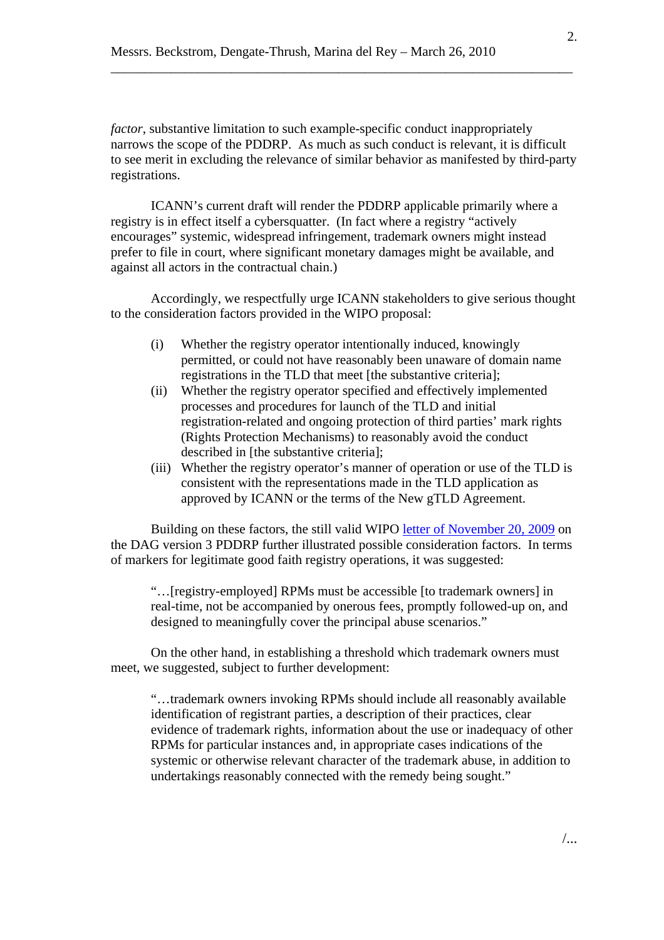*factor*, substantive limitation to such example-specific conduct inappropriately narrows the scope of the PDDRP. As much as such conduct is relevant, it is difficult to see merit in excluding the relevance of similar behavior as manifested by third-party registrations.

\_\_\_\_\_\_\_\_\_\_\_\_\_\_\_\_\_\_\_\_\_\_\_\_\_\_\_\_\_\_\_\_\_\_\_\_\_\_\_\_\_\_\_\_\_\_\_\_\_\_\_\_\_\_\_\_\_\_\_\_\_\_\_\_\_\_\_\_\_

ICANN's current draft will render the PDDRP applicable primarily where a registry is in effect itself a cybersquatter. (In fact where a registry "actively encourages" systemic, widespread infringement, trademark owners might instead prefer to file in court, where significant monetary damages might be available, and against all actors in the contractual chain.)

Accordingly, we respectfully urge ICANN stakeholders to give serious thought to the consideration factors provided in the WIPO proposal:

- (i) Whether the registry operator intentionally induced, knowingly permitted, or could not have reasonably been unaware of domain name registrations in the TLD that meet [the substantive criteria];
- (ii) Whether the registry operator specified and effectively implemented processes and procedures for launch of the TLD and initial registration-related and ongoing protection of third parties' mark rights (Rights Protection Mechanisms) to reasonably avoid the conduct described in [the substantive criteria];
- (iii) Whether the registry operator's manner of operation or use of the TLD is consistent with the representations made in the TLD application as approved by ICANN or the terms of the New gTLD Agreement.

Building on these factors, the still valid WIPO [letter of November 20, 2009](http://www.wipo.int/amc/en/docs/icann201109.pdf) on the DAG version 3 PDDRP further illustrated possible consideration factors. In terms of markers for legitimate good faith registry operations, it was suggested:

"…[registry-employed] RPMs must be accessible [to trademark owners] in real-time, not be accompanied by onerous fees, promptly followed-up on, and designed to meaningfully cover the principal abuse scenarios."

On the other hand, in establishing a threshold which trademark owners must meet, we suggested, subject to further development:

"…trademark owners invoking RPMs should include all reasonably available identification of registrant parties, a description of their practices, clear evidence of trademark rights, information about the use or inadequacy of other RPMs for particular instances and, in appropriate cases indications of the systemic or otherwise relevant character of the trademark abuse, in addition to undertakings reasonably connected with the remedy being sought."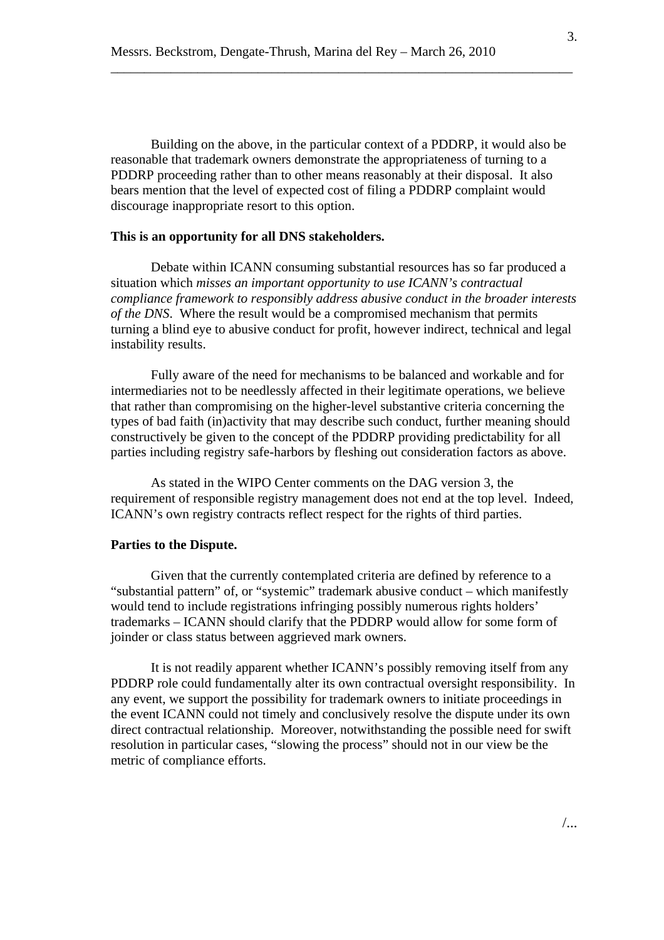Building on the above, in the particular context of a PDDRP, it would also be reasonable that trademark owners demonstrate the appropriateness of turning to a PDDRP proceeding rather than to other means reasonably at their disposal. It also bears mention that the level of expected cost of filing a PDDRP complaint would discourage inappropriate resort to this option.

\_\_\_\_\_\_\_\_\_\_\_\_\_\_\_\_\_\_\_\_\_\_\_\_\_\_\_\_\_\_\_\_\_\_\_\_\_\_\_\_\_\_\_\_\_\_\_\_\_\_\_\_\_\_\_\_\_\_\_\_\_\_\_\_\_\_\_\_\_

#### **This is an opportunity for all DNS stakeholders.**

Debate within ICANN consuming substantial resources has so far produced a situation which *misses an important opportunity to use ICANN's contractual compliance framework to responsibly address abusive conduct in the broader interests of the DNS*. Where the result would be a compromised mechanism that permits turning a blind eye to abusive conduct for profit, however indirect, technical and legal instability results.

Fully aware of the need for mechanisms to be balanced and workable and for intermediaries not to be needlessly affected in their legitimate operations, we believe that rather than compromising on the higher-level substantive criteria concerning the types of bad faith (in)activity that may describe such conduct, further meaning should constructively be given to the concept of the PDDRP providing predictability for all parties including registry safe-harbors by fleshing out consideration factors as above.

As stated in the WIPO Center comments on the DAG version 3, the requirement of responsible registry management does not end at the top level. Indeed, ICANN's own registry contracts reflect respect for the rights of third parties.

#### **Parties to the Dispute.**

Given that the currently contemplated criteria are defined by reference to a "substantial pattern" of, or "systemic" trademark abusive conduct – which manifestly would tend to include registrations infringing possibly numerous rights holders' trademarks – ICANN should clarify that the PDDRP would allow for some form of joinder or class status between aggrieved mark owners.

It is not readily apparent whether ICANN's possibly removing itself from any PDDRP role could fundamentally alter its own contractual oversight responsibility. In any event, we support the possibility for trademark owners to initiate proceedings in the event ICANN could not timely and conclusively resolve the dispute under its own direct contractual relationship. Moreover, notwithstanding the possible need for swift resolution in particular cases, "slowing the process" should not in our view be the metric of compliance efforts.